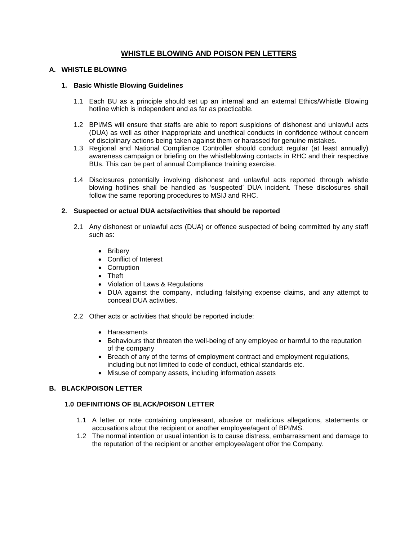# **WHISTLE BLOWING AND POISON PEN LETTERS**

### **A. WHISTLE BLOWING**

#### **1. Basic Whistle Blowing Guidelines**

- 1.1 Each BU as a principle should set up an internal and an external Ethics/Whistle Blowing hotline which is independent and as far as practicable.
- 1.2 BPI/MS will ensure that staffs are able to report suspicions of dishonest and unlawful acts (DUA) as well as other inappropriate and unethical conducts in confidence without concern of disciplinary actions being taken against them or harassed for genuine mistakes.
- 1.3 Regional and National Compliance Controller should conduct regular (at least annually) awareness campaign or briefing on the whistleblowing contacts in RHC and their respective BUs. This can be part of annual Compliance training exercise.
- 1.4 Disclosures potentially involving dishonest and unlawful acts reported through whistle blowing hotlines shall be handled as 'suspected' DUA incident. These disclosures shall follow the same reporting procedures to MSIJ and RHC.

### **2. Suspected or actual DUA acts/activities that should be reported**

- 2.1 Any dishonest or unlawful acts (DUA) or offence suspected of being committed by any staff such as:
	- Briberv
	- Conflict of Interest
	- Corruption
	- Theft
	- Violation of Laws & Regulations
	- DUA against the company, including falsifying expense claims, and any attempt to conceal DUA activities.
- 2.2 Other acts or activities that should be reported include:
	- Harassments
	- **Behaviours that threaten the well-being of any employee or harmful to the reputation** of the company
	- Breach of any of the terms of employment contract and employment regulations, including but not limited to code of conduct, ethical standards etc.
	- Misuse of company assets, including information assets

### **B. BLACK/POISON LETTER**

### **1.0 DEFINITIONS OF BLACK/POISON LETTER**

- 1.1 A letter or note containing unpleasant, abusive or malicious allegations, statements or accusations about the recipient or another employee/agent of BPI/MS.
- 1.2 The normal intention or usual intention is to cause distress, embarrassment and damage to the reputation of the recipient or another employee/agent of/or the Company.